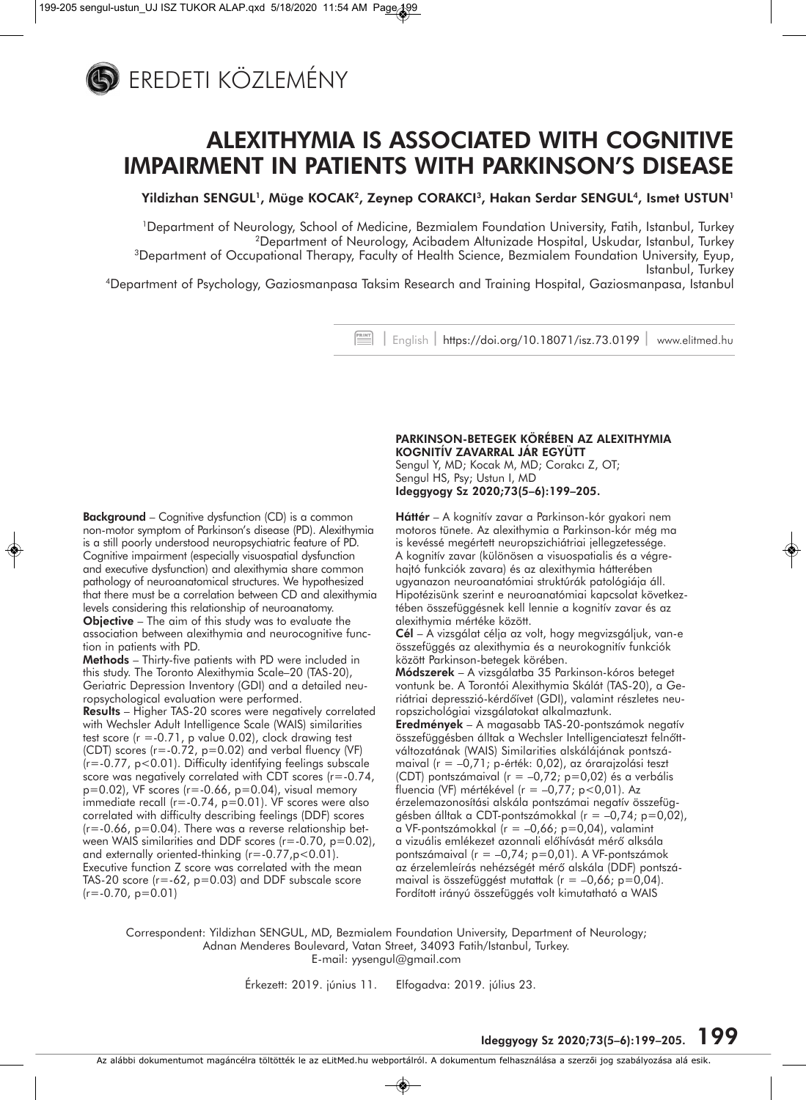

## **ALEXITHYMIA IS ASSOCIATED WITH COGNITIVE IMPAIRMENT IN PATIENTS WITH PARKINSON'S DISEASE**

**Yildizhan SENGUL1, Müge KOCAK2, Zeynep CORAKCI3, Hakan Serdar SENGUL4, Ismet USTUN1** 

1Department of Neurology, School of Medicine, Bezmialem Foundation University, Fatih, Istanbul, Turkey 2Department of Neurology, Acibadem Altunizade Hospital, Uskudar, Istanbul, Turkey 3Department of Occupational Therapy, Faculty of Health Science, Bezmialem Foundation University, Eyup, Istanbul, Turkey

4Department of Psychology, Gaziosmanpasa Taksim Research and Training Hospital, Gaziosmanpasa, Istanbul

| English | https://doi.org/10.18071/isz.73.0199 | www.elitmed.hu

**Background** – Cognitive dysfunction (CD) is a common non-motor symptom of Parkinson's disease (PD). Alexithymia is a still poorly understood neuropsychiatric feature of PD. Cognitive impairment (especially visuospatial dysfunction and executive dysfunction) and alexithymia share common pathology of neuroanatomical structures. We hypothesized that there must be a correlation between CD and alexithymia levels considering this relationship of neuroanatomy.

**Objective** – The aim of this study was to evaluate the association between alexithymia and neurocognitive function in patients with PD.

**Methods** – Thirty-five patients with PD were included in this study. The Toronto Alexithymia Scale–20 (TAS-20), Geriatric Depression Inventory (GDI) and a detailed neuropsychological evaluation were performed.

**Results** – Higher TAS-20 scores were negatively correlated with Wechsler Adult Intelligence Scale (WAIS) similarities test score  $(r = -0.71)$ , p value 0.02), clock drawing test (CDT) scores (r=-0.72, p=0.02) and verbal fluency (VF) (r=-0.77, p<0.01). Difficulty identifying feelings subscale score was negatively correlated with CDT scores (r=-0.74,  $p=0.02$ ), VF scores ( $r=-0.66$ ,  $p=0.04$ ), visual memory immediate recall (r=-0.74, p=0.01). VF scores were also correlated with difficulty describing feelings (DDF) scores  $(r=-0.66, p=0.04)$ . There was a reverse relationship between WAIS similarities and DDF scores (r=-0.70, p=0.02), and externally oriented-thinking  $(r=-0.77, p<0.01)$ . Executive function Z score was correlated with the mean TAS-20 score  $(r = -62, p = 0.03)$  and DDF subscale score  $(r=-0.70, p=0.01)$ 

**PARKINSON-BETEGEK KÖRÉBEN AZ ALEXITHYMIA KOGNITÍV ZAVARRAL JÁR EGYÜTT**  Sengul Y, MD; Kocak M, MD; Corakcı Z, OT; Sengul HS, Psy; Ustun I, MD **Ideggyogy Sz 2020;73(5–6):199–205.**

**Háttér** – A kognitív zavar a Parkinson-kór gyakori nem motoros tünete. Az alexithymia a Parkinson-kór még ma is kevéssé megértett neuropszichiátriai jellegzetessége. A kognitív zavar (különösen a visuospatialis és a végrehajtó funkciók zavara) és az alexithymia hátterében ugyanazon neuroanatómiai struktúrák patológiája áll. Hipotézisünk szerint e neuroanatómiai kapcsolat következtében összefüggésnek kell lennie a kognitív zavar és az alexithymia mértéke között.

**Cél** – A vizsgálat célja az volt, hogy megvizsgáljuk, van-e összefüggés az alexithymia és a neurokognitív funkciók között Parkinson-betegek körében.

**Módszerek** – A vizsgálatba 35 Parkinson-kóros beteget vontunk be. A Torontói Alexithymia Skálát (TAS-20), a Ge riátriai depresszió-kérdôívet (GDI), valamint részletes neuropszichológiai vizsgálatokat alkalmaztunk.

**Eredmények** – A magasabb TAS-20-pontszámok negatív összefüggésben álltak a Wechsler Intelligenciateszt felnőttváltozatának (WAIS) Similarities alskálájának pontszá maival (r = -0,71; p-érték: 0,02), az órarajzolási teszt (CDT) pontszámaival (r = –0,72; p=0,02) és a verbális fluencia (VF) mértékével (r = –0,77; p<0,01). Az érzelemazonosítási alskála pontszámai negatív összefüggésben álltak a CDT-pontszámokkal (r = –0,74; p=0,02), a VF-pontszámokkal ( $r = -0.66$ ; p=0.04), valamint a vizuális emlékezet azonnali előhívását mérő alksála pontszámaival (r = –0,74; p=0,01). A VF-pontszámok az érzelemleírás nehézségét mérő alskála (DDF) pontszámaival is összefüggést mutattak ( $r = -0.66$ ; p=0.04). Fordított irányú összefüggés volt kimutatható a WAIS

Correspondent: Yildizhan SENGUL, MD, Bezmialem Foundation University, Department of Neurology; Adnan Menderes Boulevard, Vatan Street, 34093 Fatih/Istanbul, Turkey. E-mail: yysengul@gmail.com

Érkezett: 2019. június 11. Elfogadva: 2019. július 23.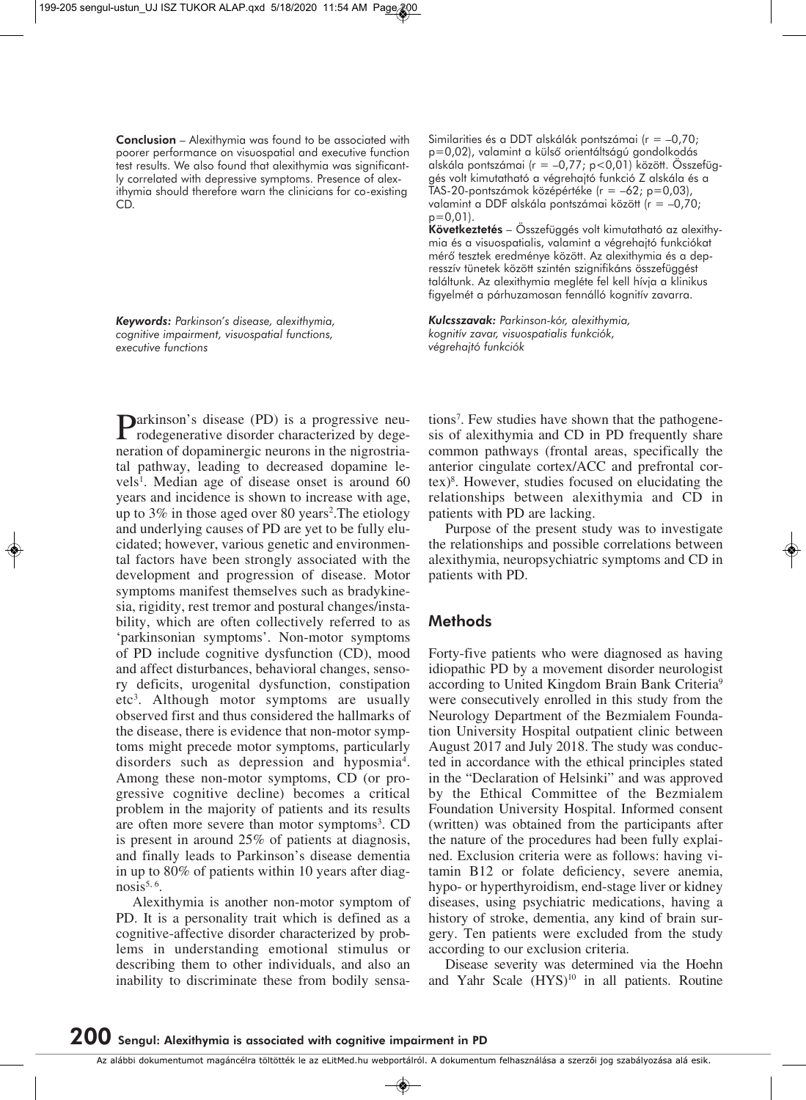**Conclusion** – Alexithymia was found to be associated with poorer performance on visuospatial and executive function test results. We also found that alexithymia was significantly correlated with depressive symptoms. Presence of alexithymia should therefore warn the clinicians for co-existing CD.

*Keywords: Parkinson's disease, alexithymia, cognitive impairment, visuospatial functions, executive functions*

Parkinson's disease (PD) is a progressive neu-<br>rodegenerative disorder characterized by degeneration of dopaminergic neurons in the nigrostriatal pathway, leading to decreased dopamine levels<sup>1</sup>. Median age of disease onset is around 60 years and incidence is shown to increase with age, up to 3% in those aged over 80 years<sup>2</sup>. The etiology and underlying causes of PD are yet to be fully elucidated; however, various genetic and environmental factors have been strongly associated with the development and progression of disease. Motor symptoms manifest themselves such as bradykinesia, rigidity, rest tremor and postural changes/instability, which are often collectively referred to as 'parkinsonian symptoms'. Non-motor symptoms of PD include cognitive dysfunction (CD), mood and affect disturbances, behavioral changes, sensory deficits, urogenital dysfunction, constipation etc3 . Although motor symptoms are usually observed first and thus considered the hallmarks of the disease, there is evidence that non-motor symptoms might precede motor symptoms, particularly disorders such as depression and hyposmia<sup>4</sup>. Among these non-motor symptoms, CD (or progressive cognitive decline) becomes a critical problem in the majority of patients and its results are often more severe than motor symptoms<sup>3</sup>. CD is present in around 25% of patients at diagnosis, and finally leads to Parkinson's disease dementia in up to 80% of patients within 10 years after diagnosis $5, 6$ .

Alexithymia is another non-motor symptom of PD. It is a personality trait which is defined as a cognitive-affective disorder characterized by problems in understanding emotional stimulus or describing them to other individuals, and also an inability to discriminate these from bodily sensaSimilarities és a DDT alskálák pontszámai (r = –0,70; p=0,02), valamint a külsô orientáltságú gondolkodás alskála pontszámai (r = –0,77; p<0,01) között. Összefüggés volt kimutatható a végrehajtó funkció Z alskála és a TAS-20-pontszámok középértéke (r = –62; p=0,03), valamint a DDF alskála pontszámai között (r = –0,70; p=0,01).

Következtetés – Összefüggés volt kimutatható az alexithymia és a visuospatialis, valamint a végrehajtó funkciókat mérô tesztek eredménye között. Az alexithymia és a dep resszív tünetek között szintén szignifikáns összefüggést találtunk. Az alexithymia megléte fel kell hívja a klinikus figyelmét a párhuzamosan fennálló kognitív zavarra.

*Kulcsszavak: Parkinson-kór, alexithymia, kognitív zavar, visuospatialis funkciók, végrehajtó funkciók*

tions7 . Few studies have shown that the pathogenesis of alexithymia and CD in PD frequently share common pathways (frontal areas, specifically the anterior cingulate cortex/ACC and prefrontal cortex)8 . However, studies focused on elucidating the relationships between alexithymia and CD in patients with PD are lacking.

Purpose of the present study was to investigate the relationships and possible correlations between alexithymia, neuropsychiatric symptoms and CD in patients with PD.

## **Methods**

Forty-five patients who were diagnosed as having idiopathic PD by a movement disorder neurologist according to United Kingdom Brain Bank Criteria9 were consecutively enrolled in this study from the Neurology Department of the Bezmialem Foundation University Hospital outpatient clinic between August 2017 and July 2018. The study was conducted in accordance with the ethical principles stated in the "Declaration of Helsinki" and was approved by the Ethical Committee of the Bezmialem Foundation University Hospital. Informed consent (written) was obtained from the participants after the nature of the procedures had been fully explained. Exclusion criteria were as follows: having vitamin B12 or folate deficiency, severe anemia, hypo- or hyperthyroidism, end-stage liver or kidney diseases, using psychiatric medications, having a history of stroke, dementia, any kind of brain surgery. Ten patients were excluded from the study according to our exclusion criteria.

Disease severity was determined via the Hoehn and Yahr Scale (HYS)<sup>10</sup> in all patients. Routine

Az alábbi dokumentumot magáncélra töltötték le az eLitMed.hu webportálról. A dokumentum felhasználása a szerzôi jog szabályozása alá esik.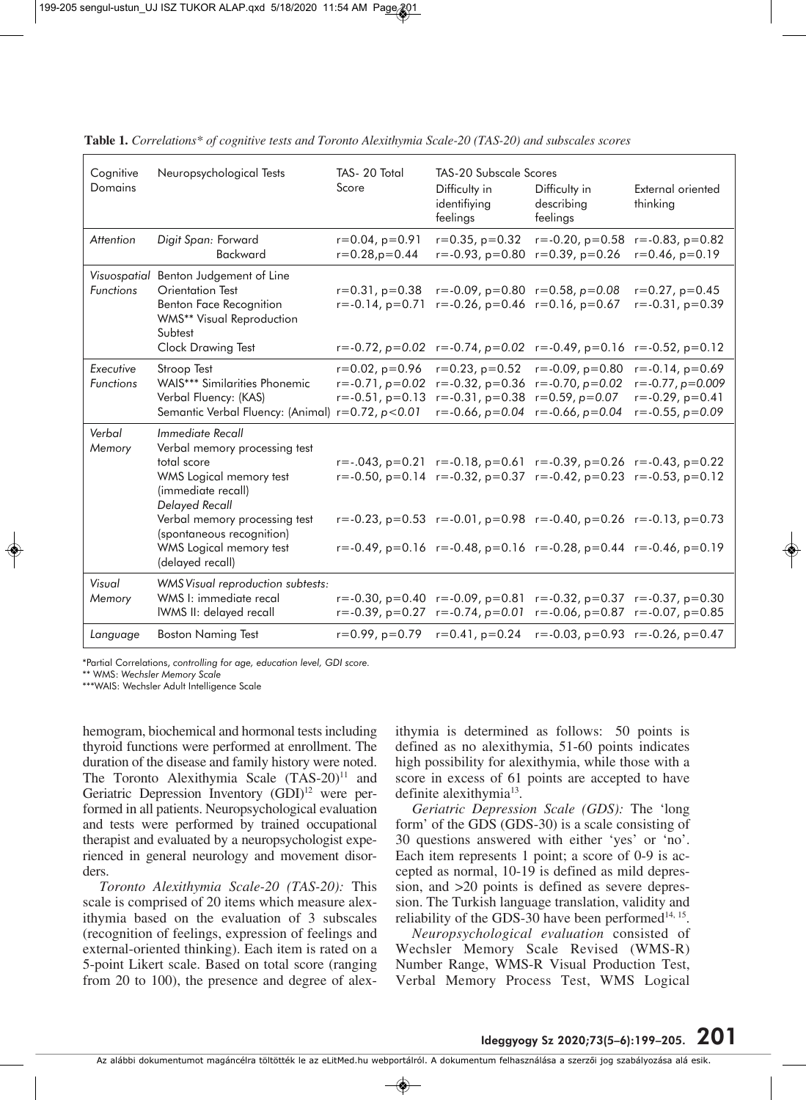| Cognitive<br>Domains             | Neuropsychological Tests                                                                                                                                                                                                                                | TAS-20 Total<br>Score                                                       | <b>TAS-20 Subscale Scores</b><br>Difficulty in<br>identifiying<br>feelings                                                                                                                     | Difficulty in<br>describing<br>feelings                                                                                                                                                                                                                                                                                                                                                                      | External oriented<br>thinking                                                                                 |
|----------------------------------|---------------------------------------------------------------------------------------------------------------------------------------------------------------------------------------------------------------------------------------------------------|-----------------------------------------------------------------------------|------------------------------------------------------------------------------------------------------------------------------------------------------------------------------------------------|--------------------------------------------------------------------------------------------------------------------------------------------------------------------------------------------------------------------------------------------------------------------------------------------------------------------------------------------------------------------------------------------------------------|---------------------------------------------------------------------------------------------------------------|
| Attention                        | Digit Span: Forward<br>Backward                                                                                                                                                                                                                         | $r=0.04$ , $p=0.91$<br>$r = 0.28$ , $p = 0.44$                              | $r=0.35$ , $p=0.32$<br>$r = -0.93$ , $p = 0.80$                                                                                                                                                | $r = -0.20$ , $p = 0.58$<br>$r=0.39$ , $p=0.26$                                                                                                                                                                                                                                                                                                                                                              | $r = -0.83$ , $p = 0.82$<br>$r=0.46$ , $p=0.19$                                                               |
| Visuospatial<br><b>Functions</b> | Benton Judgement of Line<br>Orientation Test<br>Benton Face Recognition<br>WMS** Visual Reproduction<br>Subtest<br>Clock Drawing Test                                                                                                                   | $r = -0.14$ , $p = 0.71$                                                    | $r=0.31$ , $p=0.38$ $r=-0.09$ , $p=0.80$ $r=0.58$ , $p=0.08$<br>$r = -0.26$ , $p = 0.46$ $r = 0.16$ , $p = 0.67$<br>$r = -0.72$ , $p = 0.02$ $r = -0.74$ , $p = 0.02$ $r = -0.49$ , $p = 0.16$ |                                                                                                                                                                                                                                                                                                                                                                                                              | $r = 0.27$ , $p = 0.45$<br>$r = -0.31$ , $p = 0.39$<br>$r = -0.52$ , $p = 0.12$                               |
| Executive<br><b>Functions</b>    | Stroop Test<br><b>WAIS*** Similarities Phonemic</b><br>Verbal Fluency: (KAS)<br>Semantic Verbal Fluency: (Animal) r=0.72, p<0.01                                                                                                                        | $r=0.02$ , $p=0.96$<br>$r = -0.71$ , $p = 0.02$<br>$r = -0.51$ , $p = 0.13$ | $r=0.23$ , $p=0.52$<br>$r = -0.32$ , $p = 0.36$<br>$r = -0.31$ , $p = 0.38$<br>$r = -0.66$ , $p = 0.04$                                                                                        | $r = -0.09$ , $p = 0.80$<br>$r = -0.70$ , $p = 0.02$<br>$r=0.59$ , $p=0.07$<br>$r = -0.66$ , $p = 0.04$                                                                                                                                                                                                                                                                                                      | $r = -0.14$ , $p = 0.69$<br>$r = -0.77$ , $p = 0.009$<br>$r = -0.29$ , $p = 0.41$<br>$r = -0.55$ , $p = 0.09$ |
| Verbal<br>Memory                 | Immediate Recall<br>Verbal memory processing test<br>total score<br>WMS Logical memory test<br>(immediate recall)<br><b>Delayed Recall</b><br>Verbal memory processing test<br>(spontaneous recognition)<br>WMS Logical memory test<br>(delayed recall) |                                                                             |                                                                                                                                                                                                | $r = -.043, p = 0.21$ $r = .0.18, p = 0.61$ $r = .0.39, p = 0.26$ $r = .0.43, p = 0.22$<br>$r = -0.50$ , $p = 0.14$ $r = -0.32$ , $p = 0.37$ $r = -0.42$ , $p = 0.23$ $r = -0.53$ , $p = 0.12$<br>$r = -0.23$ , $p = 0.53$ $r = -0.01$ , $p = 0.98$ $r = -0.40$ , $p = 0.26$ $r = -0.13$ , $p = 0.73$<br>$r = -0.49$ , $p = 0.16$ $r = -0.48$ , $p = 0.16$ $r = -0.28$ , $p = 0.44$ $r = -0.46$ , $p = 0.19$ |                                                                                                               |
| Visual<br>Memory                 | WMS Visual reproduction subtests:<br>WMS I: immediate recal<br>IWMS II: delayed recall                                                                                                                                                                  |                                                                             | $r = -0.30$ , $p = 0.40$ $r = -0.09$ , $p = 0.81$<br>$r = -0.39$ , $p = 0.27$ $r = -0.74$ , $p = 0.01$                                                                                         |                                                                                                                                                                                                                                                                                                                                                                                                              | $r = -0.32$ , $p = 0.37$ $r = -0.37$ , $p = 0.30$<br>$r = -0.06$ , $p = 0.87$ $r = -0.07$ , $p = 0.85$        |
| Language                         | <b>Boston Naming Test</b>                                                                                                                                                                                                                               |                                                                             | $r=0.99$ , $p=0.79$ $r=0.41$ , $p=0.24$                                                                                                                                                        |                                                                                                                                                                                                                                                                                                                                                                                                              | $r = -0.03$ , $p = 0.93$ $r = -0.26$ , $p = 0.47$                                                             |

**Table 1.** *Correlations\* of cognitive tests and Toronto Alexithymia Scale-20 (TAS-20) and subscales scores*

\* \*Partial Correlations, *controlling for age, education level, GDI score.*

\*\* WMS: *Wechsler Memory Scale*

\*\*\*WAIS: Wechsler Adult Intelligence Scale

hemogram, biochemical and hormonal tests including thyroid functions were performed at enrollment. The duration of the disease and family history were noted. The Toronto Alexithymia Scale (TAS-20)<sup>11</sup> and Geriatric Depression Inventory (GDI)<sup>12</sup> were performed in all patients. Neuropsychological evaluation and tests were performed by trained occupational therapist and evaluated by a neuropsychologist experienced in general neurology and movement disorders.

*Toronto Alexithymia Scale-20 (TAS-20):* This scale is comprised of 20 items which measure alexithymia based on the evaluation of 3 subscales (recognition of feelings, expression of feelings and external-oriented thinking). Each item is rated on a 5-point Likert scale. Based on total score (ranging from 20 to 100), the presence and degree of alexithymia is determined as follows: 50 points is defined as no alexithymia, 51-60 points indicates high possibility for alexithymia, while those with a score in excess of 61 points are accepted to have definite alexithymia<sup>13</sup>.

*Geriatric Depression Scale (GDS):* The 'long form' of the GDS (GDS-30) is a scale consisting of 30 questions answered with either 'yes' or 'no'. Each item represents 1 point; a score of 0-9 is accep ted as normal, 10-19 is defined as mild depression, and >20 points is defined as severe depression. The Turkish language translation, validity and reliability of the GDS-30 have been performed $14, 15$ .

*Neuropsychological evaluation* consisted of Wechsler Memory Scale Revised (WMS-R) Number Range, WMS-R Visual Production Test, Verbal Memory Process Test, WMS Logical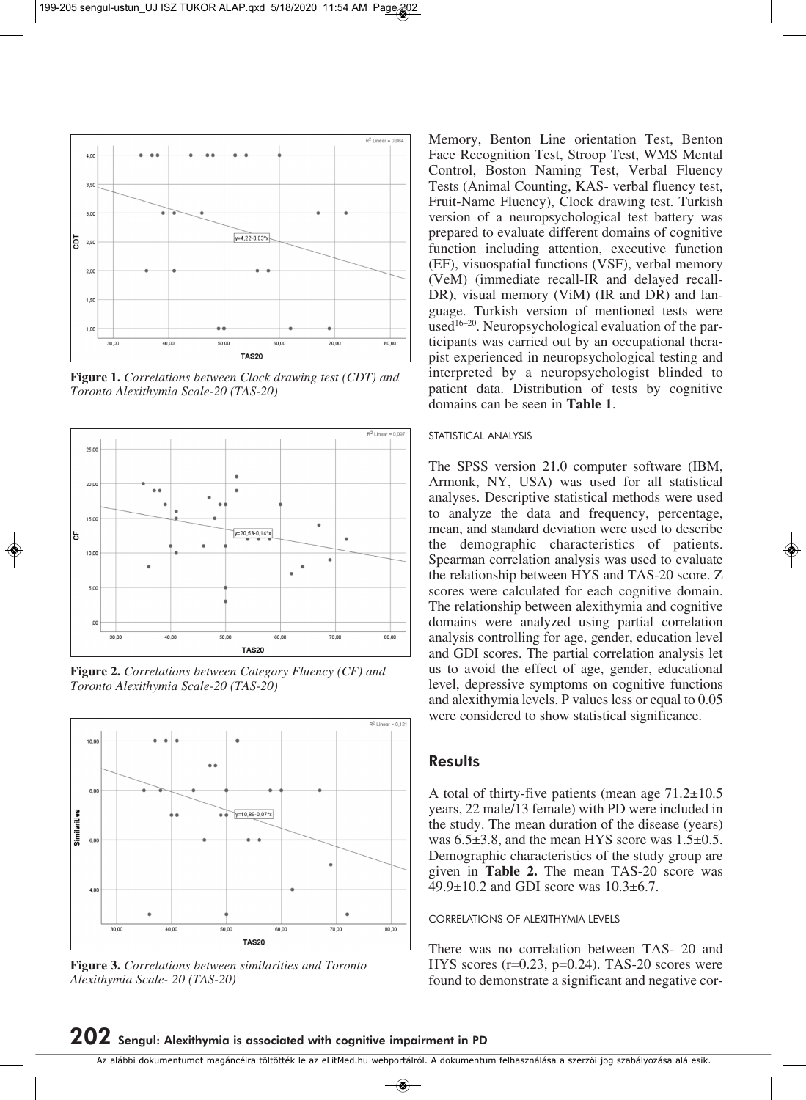

**Figure 1.** *Correlations between Clock drawing test (CDT) and Toronto Alexithymia Scale-20 (TAS-20)*



**Figure 2.** *Correlations between Category Fluency (CF) and Toronto Alexithymia Scale-20 (TAS-20)*



**Figure 3.** *Correlations between similarities and Toronto Alexithymia Scale- 20 (TAS-20)*

Memory, Benton Line orientation Test, Benton Face Recognition Test, Stroop Test, WMS Mental Control, Boston Naming Test, Verbal Fluency Tests (Animal Counting, KAS- verbal fluency test, Fruit-Name Fluency), Clock drawing test. Turkish version of a neuropsychological test battery was prepared to evaluate different domains of cognitive function including attention, executive function (EF), visuospatial functions (VSF), verbal memory (VeM) (immediate recall-IR and delayed recall-DR), visual memory (ViM) (IR and DR) and language. Turkish version of mentioned tests were used<sup>16–20</sup>. Neuropsychological evaluation of the participants was carried out by an occupational therapist experienced in neuropsychological testing and interpreted by a neuropsychologist blinded to patient data. Distribution of tests by cognitive domains can be seen in **Table 1**.

#### STATISTICAL ANALYSIS

The SPSS version 21.0 computer software (IBM, Armonk, NY, USA) was used for all statistical analyses. Descriptive statistical methods were used to analyze the data and frequency, percentage, mean, and standard deviation were used to describe the demographic characteristics of patients. Spearman correlation analysis was used to evaluate the relationship between HYS and TAS-20 score. Z scores were calculated for each cognitive domain. The relationship between alexithymia and cognitive domains were analyzed using partial correlation analysis controlling for age, gender, education level and GDI scores. The partial correlation analysis let us to avoid the effect of age, gender, educational level, depressive symptoms on cognitive functions and alexithymia levels. P values less or equal to 0.05 were considered to show statistical significance.

## **Results**

A total of thirty-five patients (mean age 71.2±10.5 years, 22 male/13 female) with PD were included in the study. The mean duration of the disease (years) was  $6.5\pm3.8$ , and the mean HYS score was  $1.5\pm0.5$ . Demographic characteristics of the study group are given in **Table 2.** The mean TAS-20 score was  $49.9 \pm 10.2$  and GDI score was  $10.3 \pm 6.7$ .

#### CORRELATIONS OF ALEXITHYMIA LEVELS

There was no correlation between TAS- 20 and HYS scores  $(r=0.23, p=0.24)$ . TAS-20 scores were found to demonstrate a significant and negative cor-

Az alábbi dokumentumot magáncélra töltötték le az eLitMed.hu webportálról. A dokumentum felhasználása a szerzôi jog szabályozása alá esik.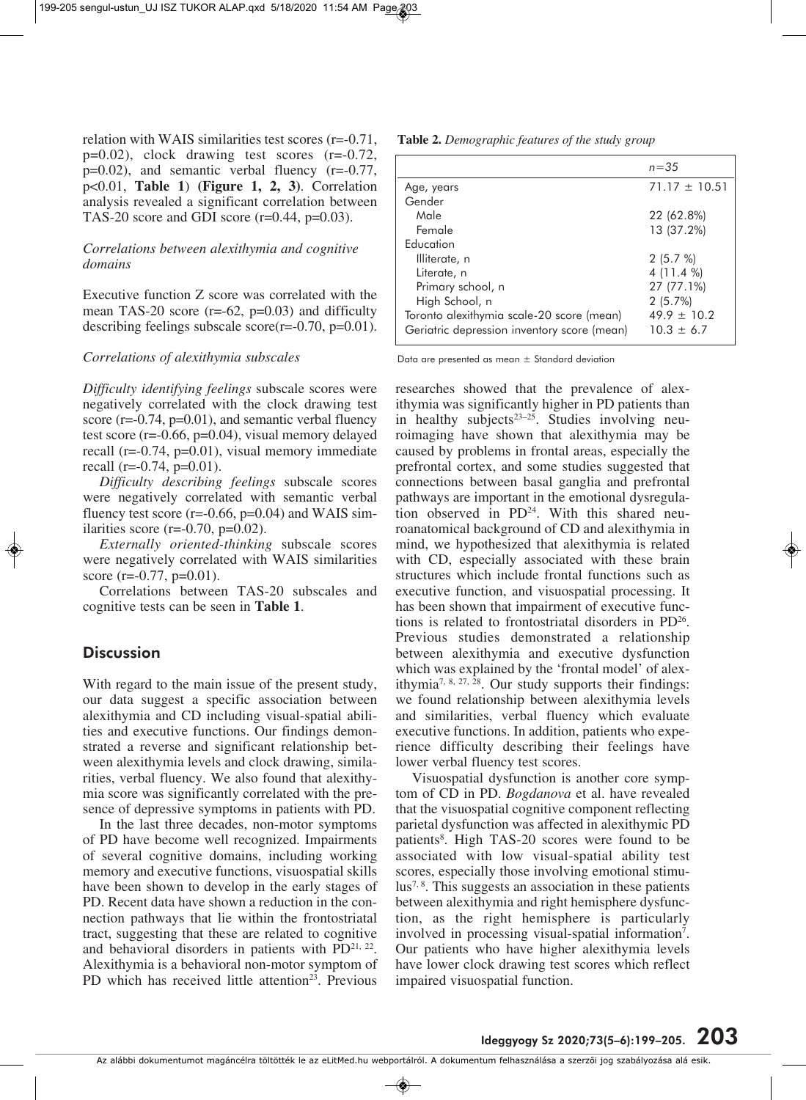relation with WAIS similarities test scores (r=-0.71, p=0.02), clock drawing test scores (r=-0.72, p=0.02), and semantic verbal fluency (r=-0.77, p<0.01, **Table 1**) **(Figure 1, 2, 3)**. Correlation analysis revealed a significant correlation between TAS-20 score and GDI score (r=0.44, p=0.03).

## *Correlations between alexithymia and cognitive domains*

Executive function Z score was correlated with the mean TAS-20 score  $(r=-62, p=0.03)$  and difficulty describing feelings subscale  $score(r=0.70, p=0.01)$ .

#### *Correlations of alexithymia subscales*

*Difficulty identifying feelings* subscale scores were negatively correlated with the clock drawing test score  $(r=0.74, p=0.01)$ , and semantic verbal fluency test score (r=-0.66, p=0.04), visual memory delayed recall ( $r=-0.74$ ,  $p=0.01$ ), visual memory immediate recall (r= $-0.74$ , p= $0.01$ ).

*Difficulty describing feelings* subscale scores were negatively correlated with semantic verbal fluency test score ( $r = -0.66$ ,  $p = 0.04$ ) and WAIS similarities score ( $r=-0.70$ ,  $p=0.02$ ).

*Externally oriented-thinking* subscale scores were negatively correlated with WAIS similarities score (r= $-0.77$ , p= $0.01$ ).

Correlations between TAS-20 subscales and cognitive tests can be seen in **Table 1**.

## **Discussion**

With regard to the main issue of the present study, our data suggest a specific association between alexithymia and CD including visual-spatial abilities and executive functions. Our findings demonstrated a reverse and significant relationship between alexithymia levels and clock drawing, similarities, verbal fluency. We also found that alexithymia score was significantly correlated with the pre sence of depressive symptoms in patients with PD.

In the last three decades, non-motor symptoms of PD have become well recognized. Impairments of several cognitive domains, including working memory and executive functions, visuospatial skills have been shown to develop in the early stages of PD. Recent data have shown a reduction in the connection pathways that lie within the frontostriatal tract, suggesting that these are related to cognitive and behavioral disorders in patients with  $PD^{21, 22}$ . Alexithymia is a behavioral non-motor symptom of PD which has received little attention<sup>23</sup>. Previous

**Table 2.** *Demographic features of the study group*

|                                             | $n = 35$          |  |
|---------------------------------------------|-------------------|--|
| Age, years                                  | $71.17 \pm 10.51$ |  |
| Gender                                      |                   |  |
| Male                                        | 22 (62.8%)        |  |
| Female                                      | 13 (37.2%)        |  |
| Education                                   |                   |  |
| Illiterate, n                               | 2(5.7%)           |  |
| Literate, n                                 | 4 (11.4 %)        |  |
| Primary school, n                           | 27 (77.1%)        |  |
| High School, n                              | 2(5.7%)           |  |
| Toronto alexithymia scale-20 score (mean)   | $49.9 \pm 10.2$   |  |
| Geriatric depression inventory score (mean) | $10.3 \pm 6.7$    |  |

Data are presented as mean ± Standard deviation

researches showed that the prevalence of alexithymia was significantly higher in PD patients than in healthy subjects $23-25$ . Studies involving neuroimaging have shown that alexithymia may be caused by problems in frontal areas, especially the prefrontal cortex, and some studies suggested that connections between basal ganglia and prefrontal pathways are important in the emotional dysregulation observed in PD<sup>24</sup>. With this shared neuroanatomical background of CD and alexithymia in mind, we hypothesized that alexithymia is related with CD, especially associated with these brain structures which include frontal functions such as executive function, and visuospatial processing. It has been shown that impairment of executive functions is related to frontostriatal disorders in PD<sup>26</sup>. Previous studies demonstrated a relationship between alexithymia and executive dysfunction which was explained by the 'frontal model' of alexithymia<sup>7, 8, 27, 28</sup>. Our study supports their findings: we found relationship between alexithymia levels and similarities, verbal fluency which evaluate executive functions. In addition, patients who experience difficulty describing their feelings have lower verbal fluency test scores.

Visuospatial dysfunction is another core symptom of CD in PD. *Bogdanova* et al. have revealed that the visuospatial cognitive component reflecting parietal dysfunction was affected in alexithymic PD patients<sup>8</sup>. High TAS-20 scores were found to be associated with low visual-spatial ability test scores, especially those involving emotional stimu- $\text{lus}^{7, 8}$ . This suggests an association in these patients between alexithymia and right hemisphere dysfunction, as the right hemisphere is particularly involved in processing visual-spatial information<sup>7</sup>. Our patients who have higher alexithymia levels have lower clock drawing test scores which reflect impaired visuospatial function.

Az alábbi dokumentumot magáncélra töltötték le az eLitMed.hu webportálról. A dokumentum felhasználása a szerzôi jog szabályozása alá esik.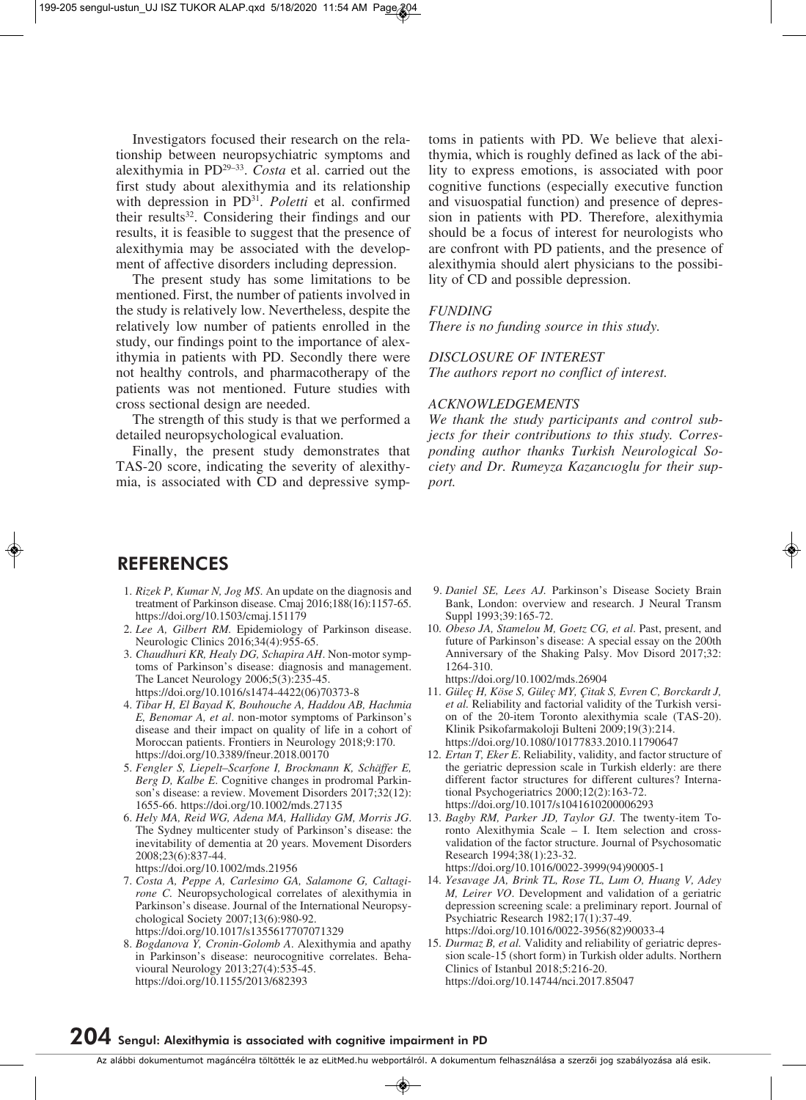Investigators focused their research on the relationship between neuropsychiatric symptoms and alexithymia in PD29–33. *Costa* et al. carried out the first study about alexithymia and its relationship with depression in PD31. *Poletti* et al. confirmed their results<sup>32</sup>. Considering their findings and our results, it is feasible to suggest that the presence of alexithymia may be associated with the development of affective disorders including depression.

The present study has some limitations to be mentioned. First, the number of patients involved in the study is relatively low. Nevertheless, despite the relatively low number of patients enrolled in the study, our findings point to the importance of alexithymia in patients with PD. Secondly there were not healthy controls, and pharmacotherapy of the patients was not mentioned. Future studies with cross sectional design are needed.

The strength of this study is that we performed a detailed neuropsychological evaluation.

Finally, the present study demonstrates that TAS-20 score, indicating the severity of alexithy mia, is associated with CD and depressive symptoms in patients with PD. We believe that alexithymia, which is roughly defined as lack of the abi lity to express emotions, is associated with poor cognitive functions (especially executive function and visuospatial function) and presence of depression in patients with PD. Therefore, alexithymia should be a focus of interest for neurologists who are confront with PD patients, and the presence of alexithymia should alert physicians to the possibility of CD and possible depression.

#### *FUNDING*

*There is no funding source in this study.*

#### *DISCLOSURE OF INTEREST*

*The authors report no conflict of interest.*

### *ACKNOWLEDGEMENTS*

*We thank the study participants and control subjects for their contributions to this study. Correspon ding author thanks Turkish Neurological So ciety and Dr. Rumeyza Kazancıoglu for their support.*

## **REFERENCES**

- 1. *Rizek P, Kumar N, Jog MS*. An update on the diagnosis and treatment of Parkinson disease. Cmaj 2016;188(16):1157-65. https://doi.org/10.1503/cmaj.151179
- 2. *Lee A, Gilbert RM.* Epidemiology of Parkinson disease. Neurologic Clinics 2016;34(4):955-65.
- 3. Chaudhuri KR, Healy DG, Schapira AH. Non-motor symptoms of Parkinson's disease: diagnosis and management. The Lancet Neurology 2006;5(3):235-45. https://doi.org/10.1016/s1474-4422(06)70373-8
- 4. *Tibar H, El Bayad K, Bouhouche A, Haddou AB, Hachmia E, Benomar A, et al*. non-motor symptoms of Parkinson's disease and their impact on quality of life in a cohort of Moroccan patients. Frontiers in Neurology 2018;9:170. https://doi.org/10.3389/fneur.2018.00170
- 5. *Fengler S, Liepelt–Scarfone I, Brockmann K, Schäffer E, Berg D, Kalbe E.* Cognitive changes in prodromal Parkinson's disease: a review. Movement Disorders 2017;32(12): 1655-66. https://doi.org/10.1002/mds.27135
- 6. *Hely MA, Reid WG, Adena MA, Halliday GM, Morris JG*. The Sydney multicenter study of Parkinson's disease: the inevitability of dementia at 20 years. Movement Disorders 2008;23(6):837-44. https://doi.org/10.1002/mds.21956
- 7. *Costa A, Peppe A, Carlesimo GA, Salamone G, Calta gi rone C.* Neuropsychological correlates of alexithymia in Parkinson's disease. Journal of the International Neuropsychological Society 2007;13(6):980-92. https://doi.org/10.1017/s1355617707071329
- 8. *Bogdanova Y, Cronin-Golomb A*. Alexithymia and apathy in Parkinson's disease: neurocognitive correlates. Behavioural Neurology 2013;27(4):535-45. https://doi.org/10.1155/2013/682393
- 9. *Daniel SE, Lees AJ.* Parkinson's Disease Society Brain Bank, London: overview and research. J Neural Transm Suppl 1993;39:165-72.
- 10. *Obeso JA, Stamelou M, Goetz CG, et al*. Past, present, and future of Parkinson's disease: A special essay on the 200th Anniversary of the Shaking Palsy. Mov Disord 2017;32: 1264-310.

https://doi.org/10.1002/mds.26904

- 11. *Güleç H, Köse S, Güleç MY, Çitak S, Evren C, Borckardt J, et al.* Reliability and factorial validity of the Turkish version of the 20-item Toronto alexithymia scale (TAS-20). Klinik Psikofarmakoloji Bulteni 2009;19(3):214. https://doi.org/10.1080/10177833.2010.11790647
- 12. *Ertan T, Eker E*. Reliability, validity, and factor structure of the geriatric depression scale in Turkish elderly: are there different factor structures for different cultures? International Psychogeriatrics 2000;12(2):163-72. https://doi.org/10.1017/s1041610200006293
- 13. *Bagby RM, Parker JD, Taylor GJ.* The twenty-item Toronto Alexithymia Scale – I. Item selection and crossvalidation of the factor structure. Journal of Psychosomatic Research 1994;38(1):23-32. https://doi.org/10.1016/0022-3999(94)90005-1
- 14. *Yesavage JA, Brink TL, Rose TL, Lum O, Huang V, Adey M, Leirer VO*. Development and validation of a geriatric dep ression screening scale: a preliminary report. Journal of Psychiatric Research 1982;17(1):37-49. https://doi.org/10.1016/0022-3956(82)90033-4
- 15. *Durmaz B, et al.* Validity and reliability of geriatric depression scale-15 (short form) in Turkish older adults. Northern Clinics of Istanbul 2018;5:216-20. https://doi.org/10.14744/nci.2017.85047

# **204 Sengul: Alexithymia is associated with cognitive impairment in PD**

Az alábbi dokumentumot magáncélra töltötték le az eLitMed.hu webportálról. A dokumentum felhasználása a szerzôi jog szabályozása alá esik.